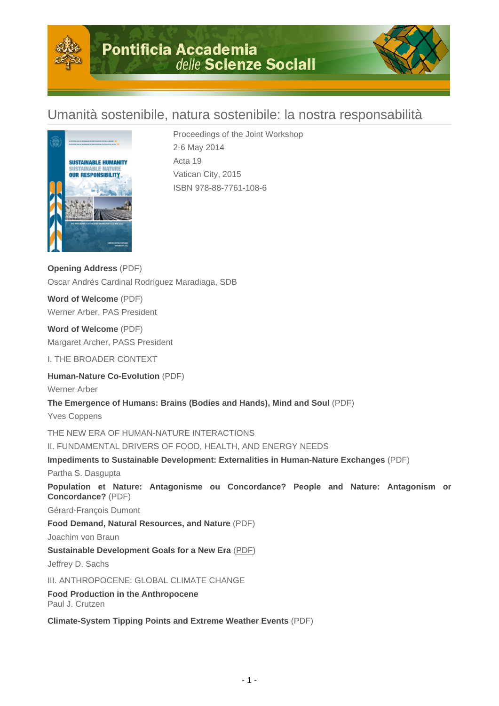

# Umanità sostenibile, natura sostenibile: la nostra responsabilità



Proceedings of the Joint Workshop 2-6 May 2014 Acta 19 Vatican City, 2015 ISBN 978-88-7761-108-6

**Opening Address** (PDF) Oscar Andrés Cardinal Rodríguez Maradiaga, SDB

**Word of Welcome** (PDF) Werner Arber, PAS President

**Word of Welcome** (PDF) Margaret Archer, PASS President

I. THE BROADER CONTEXT

**Human-Nature Co-Evolution** (PDF)

Werner Arber

**The Emergence of Humans: Brains (Bodies and Hands), Mind and Soul** (PDF)

Yves Coppens

THE NEW ERA OF HUMAN-NATURE INTERACTIONS

II. FUNDAMENTAL DRIVERS OF FOOD, HEALTH, AND ENERGY NEEDS

**Impediments to Sustainable Development: Externalities in Human-Nature Exchanges** (PDF)

Partha S. Dasgupta

**Population et Nature: Antagonisme ou Concordance? People and Nature: Antagonism or Concordance?** (PDF)

Gérard-François Dumont

**Food Demand, Natural Resources, and Nature** (PDF)

Joachim von Braun

**Sustainable Development Goals for a New Era** (PDF)

Jeffrey D. Sachs

III. ANTHROPOCENE: GLOBAL CLIMATE CHANGE

**Food Production in the Anthropocene** Paul J. Crutzen

**Climate-System Tipping Points and Extreme Weather Events** (PDF)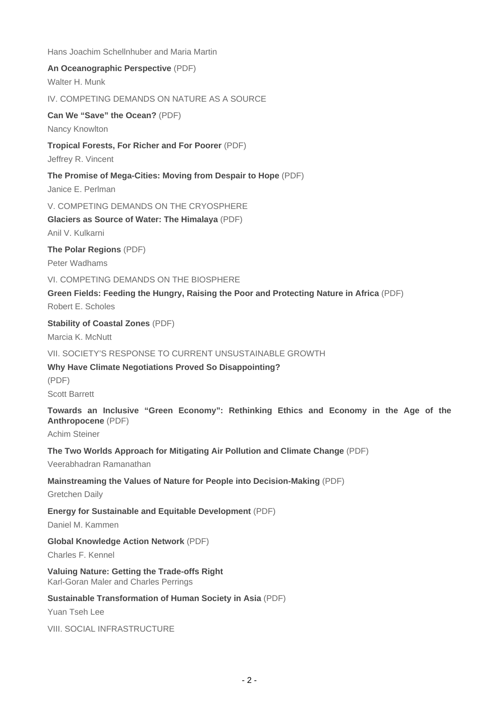Hans Joachim Schellnhuber and Maria Martin **An Oceanographic Perspective** (PDF) Walter H. Munk IV. COMPETING DEMANDS ON NATURE AS A SOURCE **Can We "Save" the Ocean?** (PDF) Nancy Knowlton **Tropical Forests, For Richer and For Poorer** (PDF) Jeffrey R. Vincent **The Promise of Mega-Cities: Moving from Despair to Hope** (PDF) Janice E. Perlman V. COMPETING DEMANDS ON THE CRYOSPHERE **Glaciers as Source of Water: The Himalaya** (PDF) Anil V. Kulkarni **The Polar Regions** (PDF) Peter Wadhams VI. COMPETING DEMANDS ON THE BIOSPHERE **Green Fields: Feeding the Hungry, Raising the Poor and Protecting Nature in Africa** (PDF) Robert E. Scholes **Stability of Coastal Zones** (PDF) Marcia K. McNutt VII. SOCIETY'S RESPONSE TO CURRENT UNSUSTAINABLE GROWTH **Why Have Climate Negotiations Proved So Disappointing?** (PDF) Scott Barrett **Towards an Inclusive "Green Economy": Rethinking Ethics and Economy in the Age of the Anthropocene** (PDF) Achim Steiner **The Two Worlds Approach for Mitigating Air Pollution and Climate Change** (PDF) Veerabhadran Ramanathan **Mainstreaming the Values of Nature for People into Decision-Making** (PDF) Gretchen Daily **Energy for Sustainable and Equitable Development** (PDF) Daniel M. Kammen **Global Knowledge Action Network** (PDF) Charles F. Kennel **Valuing Nature: Getting the Trade-offs Right** Karl-Goran Maler and Charles Perrings **Sustainable Transformation of Human Society in Asia** (PDF) Yuan Tseh Lee VIII. SOCIAL INFRASTRUCTURE